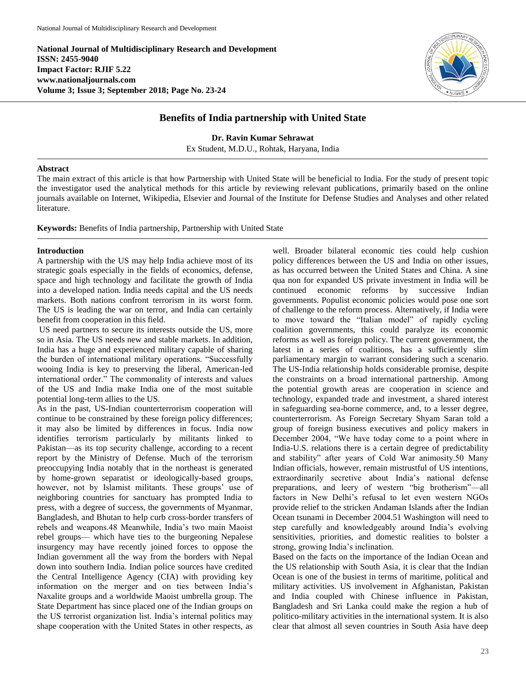**National Journal of Multidisciplinary Research and Development ISSN: 2455-9040 Impact Factor: RJIF 5.22 www.nationaljournals.com Volume 3; Issue 3; September 2018; Page No. 23-24**



## **Benefits of India partnership with United State**

**Dr. Ravin Kumar Sehrawat** Ex Student, M.D.U., Rohtak, Haryana, India

## **Abstract**

The main extract of this article is that how Partnership with United State will be beneficial to India. For the study of present topic the investigator used the analytical methods for this article by reviewing relevant publications, primarily based on the online journals available on Internet, Wikipedia, Elsevier and Journal of the Institute for Defense Studies and Analyses and other related literature.

**Keywords:** Benefits of India partnership, Partnership with United State

## **Introduction**

A partnership with the US may help India achieve most of its strategic goals especially in the fields of economics, defense, space and high technology and facilitate the growth of India into a developed nation. India needs capital and the US needs markets. Both nations confront terrorism in its worst form. The US is leading the war on terror, and India can certainly benefit from cooperation in this field.

US need partners to secure its interests outside the US, more so in Asia. The US needs new and stable markets. In addition, India has a huge and experienced military capable of sharing the burden of international military operations. "Successfully wooing India is key to preserving the liberal, American-led international order." The commonality of interests and values of the US and India make India one of the most suitable potential long-term allies to the US.

As in the past, US-Indian counterterrorism cooperation will continue to be constrained by these foreign policy differences; it may also be limited by differences in focus. India now identifies terrorism particularly by militants linked to Pakistan—as its top security challenge, according to a recent report by the Ministry of Defense. Much of the terrorism preoccupying India notably that in the northeast is generated by home-grown separatist or ideologically-based groups, however, not by Islamist militants. These groups' use of neighboring countries for sanctuary has prompted India to press, with a degree of success, the governments of Myanmar, Bangladesh, and Bhutan to help curb cross-border transfers of rebels and weapons.48 Meanwhile, India's two main Maoist rebel groups— which have ties to the burgeoning Nepalese insurgency may have recently joined forces to oppose the Indian government all the way from the borders with Nepal down into southern India. Indian police sources have credited the Central Intelligence Agency (CIA) with providing key information on the merger and on ties between India's Naxalite groups and a worldwide Maoist umbrella group. The State Department has since placed one of the Indian groups on the US terrorist organization list. India's internal politics may shape cooperation with the United States in other respects, as

well. Broader bilateral economic ties could help cushion policy differences between the US and India on other issues, as has occurred between the United States and China. A sine qua non for expanded US private investment in India will be continued economic reforms by successive Indian governments. Populist economic policies would pose one sort of challenge to the reform process. Alternatively, if India were to move toward the "Italian model" of rapidly cycling coalition governments, this could paralyze its economic reforms as well as foreign policy. The current government, the latest in a series of coalitions, has a sufficiently slim parliamentary margin to warrant considering such a scenario. The US-India relationship holds considerable promise, despite the constraints on a broad international partnership. Among the potential growth areas are cooperation in science and technology, expanded trade and investment, a shared interest in safeguarding sea-borne commerce, and, to a lesser degree, counterterrorism. As Foreign Secretary Shyam Saran told a group of foreign business executives and policy makers in December 2004, "We have today come to a point where in India-U.S. relations there is a certain degree of predictability and stability" after years of Cold War animosity.50 Many Indian officials, however, remain mistrustful of US intentions, extraordinarily secretive about India's national defense preparations, and leery of western "big brotherism"—all factors in New Delhi's refusal to let even western NGOs provide relief to the stricken Andaman Islands after the Indian Ocean tsunami in December 2004.51 Washington will need to step carefully and knowledgeably around India's evolving sensitivities, priorities, and domestic realities to bolster a strong, growing India's inclination.

Based on the facts on the importance of the Indian Ocean and the US relationship with South Asia, it is clear that the Indian Ocean is one of the busiest in terms of maritime, political and military activities. US involvement in Afghanistan, Pakistan and India coupled with Chinese influence in Pakistan, Bangladesh and Sri Lanka could make the region a hub of politico-military activities in the international system. It is also clear that almost all seven countries in South Asia have deep